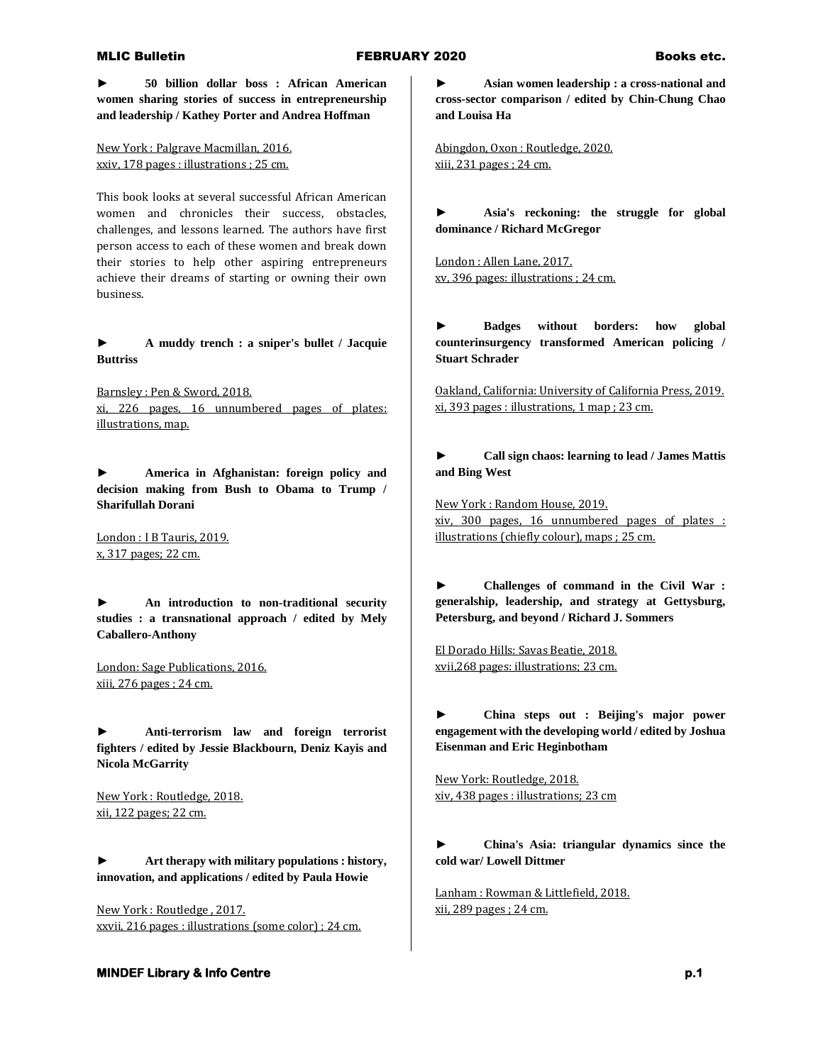**► 50 billion dollar boss : African American women sharing stories of success in entrepreneurship and leadership / Kathey Porter and Andrea Hoffman**

New York : Palgrave Macmillan, 2016. xxiv, 178 pages : illustrations ; 25 cm.

This book looks at several successful African American women and chronicles their success, obstacles, challenges, and lessons learned. The authors have first person access to each of these women and break down their stories to help other aspiring entrepreneurs achieve their dreams of starting or owning their own business.

**► A muddy trench : a sniper's bullet / Jacquie Buttriss**

Barnsley : Pen & Sword, 2018. xi, 226 pages, 16 unnumbered pages of plates: illustrations, map.

**► America in Afghanistan: foreign policy and decision making from Bush to Obama to Trump / Sharifullah Dorani**

London : I B Tauris, 2019. x, 317 pages; 22 cm.

**► An introduction to non-traditional security studies : a transnational approach / edited by Mely Caballero-Anthony**

London: Sage Publications, 2016. xiii, 276 pages ; 24 cm.

**► Anti-terrorism law and foreign terrorist fighters / edited by Jessie Blackbourn, Deniz Kayis and Nicola McGarrity**

New York : Routledge, 2018. xii, 122 pages; 22 cm.

**► Art therapy with military populations : history, innovation, and applications / edited by Paula Howie**

New York : Routledge , 2017. xxvii, 216 pages : illustrations (some color) ; 24 cm.

# **► Asian women leadership : a cross-national and cross-sector comparison / edited by Chin-Chung Chao and Louisa Ha**

Abingdon, Oxon : Routledge, 2020. xiii, 231 pages ; 24 cm.

**► Asia's reckoning: the struggle for global dominance / Richard McGregor**

London : Allen Lane, 2017. xv, 396 pages: illustrations ; 24 cm.

**► Badges without borders: how global counterinsurgency transformed American policing / Stuart Schrader**

Oakland, California: University of California Press, 2019. xi, 393 pages : illustrations, 1 map ; 23 cm.

**► Call sign chaos: learning to lead / James Mattis and Bing West**

New York : Random House, 2019. xiv, 300 pages, 16 unnumbered pages of plates : illustrations (chiefly colour), maps ; 25 cm.

**► Challenges of command in the Civil War : generalship, leadership, and strategy at Gettysburg, Petersburg, and beyond / Richard J. Sommers**

El Dorado Hills: Savas Beatie, 2018. xvii,268 pages: illustrations; 23 cm.

**► China steps out : Beijing's major power engagement with the developing world / edited by Joshua Eisenman and Eric Heginbotham**

New York: Routledge, 2018. xiv, 438 pages : illustrations; 23 cm

**► China's Asia: triangular dynamics since the cold war/ Lowell Dittmer**

Lanham : Rowman & Littlefield, 2018. xii, 289 pages ; 24 cm.

## **MINDEF Library & Info Centre p.1** *p.1* **<b>p.1** *p.1*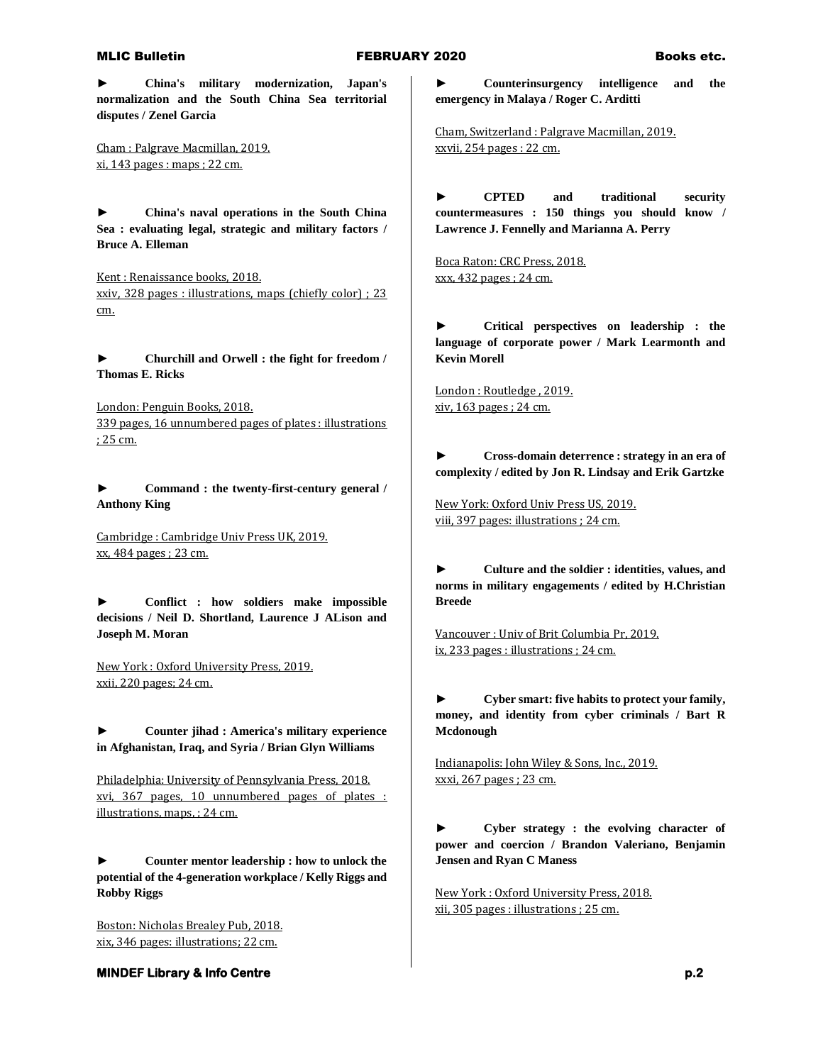**► China's military modernization, Japan's normalization and the South China Sea territorial disputes / Zenel Garcia**

Cham : Palgrave Macmillan, 2019. xi, 143 pages : maps ; 22 cm.

**► China's naval operations in the South China Sea : evaluating legal, strategic and military factors / Bruce A. Elleman**

Kent : Renaissance books, 2018. xxiv, 328 pages : illustrations, maps (chiefly color) ; 23 cm.

**► Churchill and Orwell : the fight for freedom / Thomas E. Ricks**

London: Penguin Books, 2018. 339 pages, 16 unnumbered pages of plates : illustrations ; 25 cm.

**► Command : the twenty-first-century general / Anthony King**

Cambridge : Cambridge Univ Press UK, 2019. xx, 484 pages ; 23 cm.

**► Conflict : how soldiers make impossible decisions / Neil D. Shortland, Laurence J ALison and Joseph M. Moran**

New York : Oxford University Press, 2019. xxii, 220 pages; 24 cm.

**► Counter jihad : America's military experience in Afghanistan, Iraq, and Syria / Brian Glyn Williams**

Philadelphia: University of Pennsylvania Press, 2018. xvi, 367 pages, 10 unnumbered pages of plates : illustrations, maps, ; 24 cm.

**► Counter mentor leadership : how to unlock the potential of the 4-generation workplace / Kelly Riggs and Robby Riggs**

Boston: Nicholas Brealey Pub, 2018. xix, 346 pages: illustrations; 22 cm.

**MINDEF Library & Info Centre p.2 p.2** 

**► Counterinsurgency intelligence and the emergency in Malaya / Roger C. Arditti**

Cham, Switzerland : Palgrave Macmillan, 2019. xxvii, 254 pages : 22 cm.

**► CPTED and traditional security countermeasures : 150 things you should know / Lawrence J. Fennelly and Marianna A. Perry**

Boca Raton: CRC Press, 2018. xxx, 432 pages ; 24 cm.

**► Critical perspectives on leadership : the language of corporate power / Mark Learmonth and Kevin Morell**

London : Routledge , 2019. xiv, 163 pages ; 24 cm.

**► Cross-domain deterrence : strategy in an era of complexity / edited by Jon R. Lindsay and Erik Gartzke**

New York: Oxford Univ Press US, 2019. viii, 397 pages: illustrations ; 24 cm.

**► Culture and the soldier : identities, values, and norms in military engagements / edited by H.Christian Breede**

Vancouver : Univ of Brit Columbia Pr, 2019. ix, 233 pages : illustrations ; 24 cm.

**► Cyber smart: five habits to protect your family, money, and identity from cyber criminals / Bart R Mcdonough**

Indianapolis: John Wiley & Sons, Inc., 2019. xxxi, 267 pages ; 23 cm.

**► Cyber strategy : the evolving character of power and coercion / Brandon Valeriano, Benjamin Jensen and Ryan C Maness**

New York : Oxford University Press, 2018. xii, 305 pages : illustrations ; 25 cm.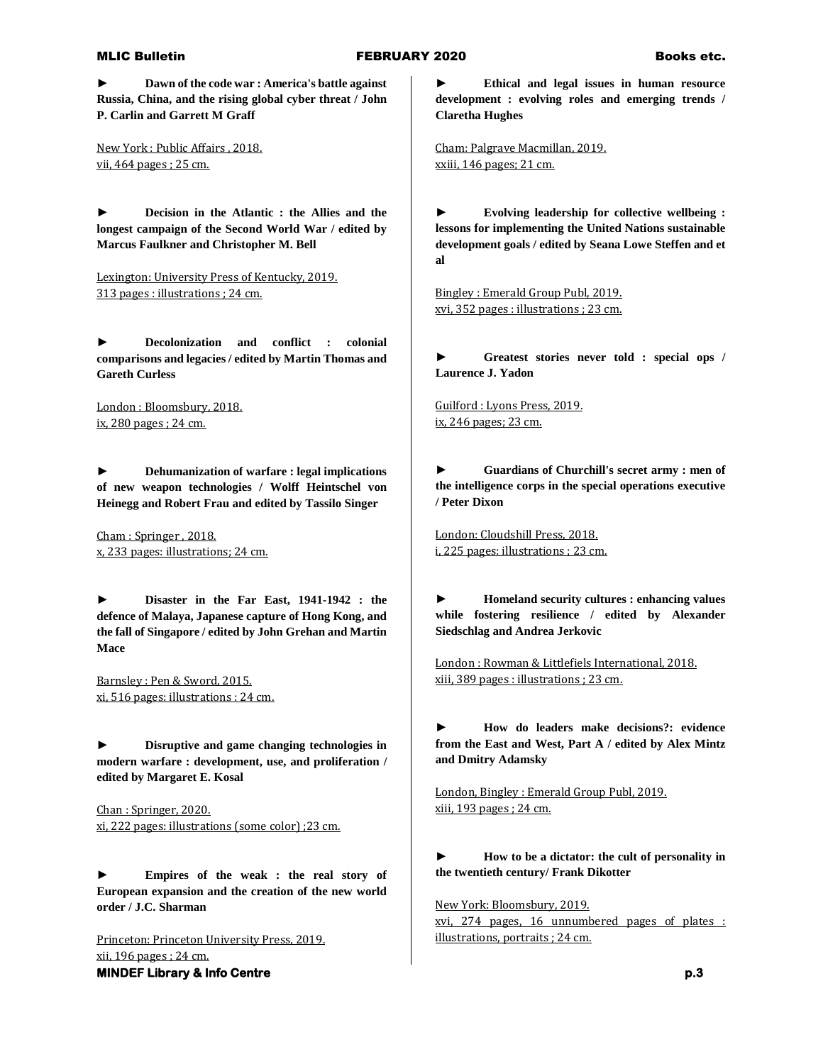**► Dawn of the code war : America's battle against Russia, China, and the rising global cyber threat / John P. Carlin and Garrett M Graff**

New York : Public Affairs , 2018. vii, 464 pages ; 25 cm.

**► Decision in the Atlantic : the Allies and the longest campaign of the Second World War / edited by Marcus Faulkner and Christopher M. Bell**

Lexington: University Press of Kentucky, 2019. 313 pages : illustrations ; 24 cm.

**► Decolonization and conflict : colonial comparisons and legacies / edited by Martin Thomas and Gareth Curless**

London : Bloomsbury, 2018. ix, 280 pages ; 24 cm.

**► Dehumanization of warfare : legal implications of new weapon technologies / Wolff Heintschel von Heinegg and Robert Frau and edited by Tassilo Singer**

Cham : Springer , 2018. x, 233 pages: illustrations; 24 cm.

**► Disaster in the Far East, 1941-1942 : the defence of Malaya, Japanese capture of Hong Kong, and the fall of Singapore / edited by John Grehan and Martin Mace**

Barnsley : Pen & Sword, 2015. xi, 516 pages: illustrations : 24 cm.

**► Disruptive and game changing technologies in modern warfare : development, use, and proliferation / edited by Margaret E. Kosal**

Chan : Springer, 2020. xi, 222 pages: illustrations (some color) ;23 cm.

**► Empires of the weak : the real story of European expansion and the creation of the new world order / J.C. Sharman**

**MINDEF Library & Info Centre p.3 p.3** Princeton: Princeton University Press, 2019. xii, 196 pages ; 24 cm.

**► Ethical and legal issues in human resource development : evolving roles and emerging trends / Claretha Hughes**

Cham: Palgrave Macmillan, 2019. xxiii, 146 pages; 21 cm.

**► Evolving leadership for collective wellbeing : lessons for implementing the United Nations sustainable development goals / edited by Seana Lowe Steffen and et al**

Bingley : Emerald Group Publ, 2019. xvi, 352 pages : illustrations ; 23 cm.

**► Greatest stories never told : special ops / Laurence J. Yadon**

Guilford : Lyons Press, 2019. ix, 246 pages; 23 cm.

**► Guardians of Churchill's secret army : men of the intelligence corps in the special operations executive / Peter Dixon**

London: Cloudshill Press, 2018. i, 225 pages: illustrations ; 23 cm.

**► Homeland security cultures : enhancing values while fostering resilience / edited by Alexander Siedschlag and Andrea Jerkovic**

London : Rowman & Littlefiels International, 2018. xiii, 389 pages : illustrations ; 23 cm.

**► How do leaders make decisions?: evidence from the East and West, Part A / edited by Alex Mintz and Dmitry Adamsky**

London, Bingley : Emerald Group Publ, 2019. xiii, 193 pages ; 24 cm.

**► How to be a dictator: the cult of personality in the twentieth century/ Frank Dikotter**

New York: Bloomsbury, 2019.

xvi, 274 pages, 16 unnumbered pages of plates : illustrations, portraits ; 24 cm.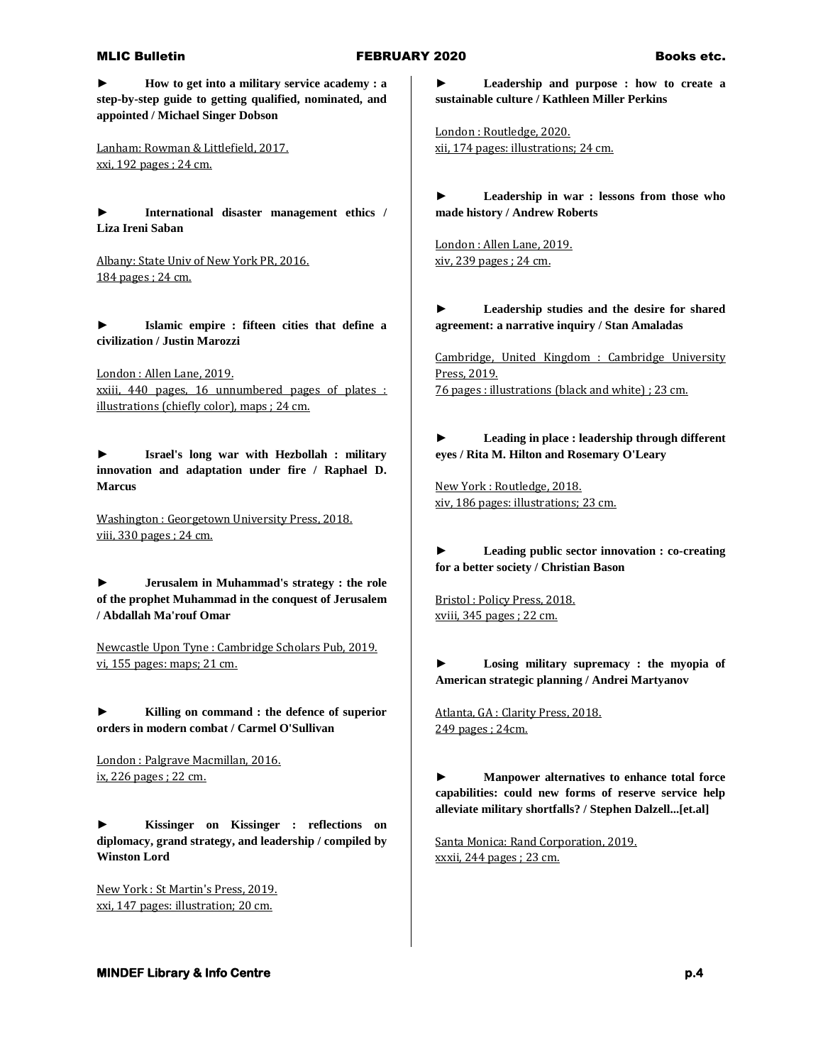**► How to get into a military service academy : a step-by-step guide to getting qualified, nominated, and appointed / Michael Singer Dobson**

Lanham: Rowman & Littlefield, 2017. xxi, 192 pages ; 24 cm.

**► International disaster management ethics / Liza Ireni Saban**

Albany: State Univ of New York PR, 2016. 184 pages ; 24 cm.

**► Islamic empire : fifteen cities that define a civilization / Justin Marozzi**

London : Allen Lane, 2019. xxiii, 440 pages, 16 unnumbered pages of plates : illustrations (chiefly color), maps ; 24 cm.

**► Israel's long war with Hezbollah : military innovation and adaptation under fire / Raphael D. Marcus**

Washington : Georgetown University Press, 2018. viii, 330 pages ; 24 cm.

**► Jerusalem in Muhammad's strategy : the role of the prophet Muhammad in the conquest of Jerusalem / Abdallah Ma'rouf Omar**

Newcastle Upon Tyne : Cambridge Scholars Pub, 2019. vi, 155 pages: maps; 21 cm.

**► Killing on command : the defence of superior orders in modern combat / Carmel O'Sullivan**

London : Palgrave Macmillan, 2016. ix, 226 pages ; 22 cm.

**► Kissinger on Kissinger : reflections on diplomacy, grand strategy, and leadership / compiled by Winston Lord**

New York : St Martin's Press, 2019. xxi, 147 pages: illustration; 20 cm.

**► Leadership and purpose : how to create a sustainable culture / Kathleen Miller Perkins**

London : Routledge, 2020. xii, 174 pages: illustrations; 24 cm.

**► Leadership in war : lessons from those who made history / Andrew Roberts**

London : Allen Lane, 2019. xiv, 239 pages ; 24 cm.

**► Leadership studies and the desire for shared agreement: a narrative inquiry / Stan Amaladas**

Cambridge, United Kingdom : Cambridge University Press, 2019. 76 pages : illustrations (black and white) ; 23 cm.

**► Leading in place : leadership through different eyes / Rita M. Hilton and Rosemary O'Leary**

New York : Routledge, 2018. xiv, 186 pages: illustrations; 23 cm.

**► Leading public sector innovation : co-creating for a better society / Christian Bason**

Bristol : Policy Press, 2018. xviii, 345 pages ; 22 cm.

**► Losing military supremacy : the myopia of American strategic planning / Andrei Martyanov**

Atlanta, GA : Clarity Press, 2018. 249 pages ; 24cm.

**► Manpower alternatives to enhance total force capabilities: could new forms of reserve service help alleviate military shortfalls? / Stephen Dalzell...[et.al]**

Santa Monica: Rand Corporation, 2019. xxxii, 244 pages ; 23 cm.

**MINDEF Library & Info Centre p.4 p.4**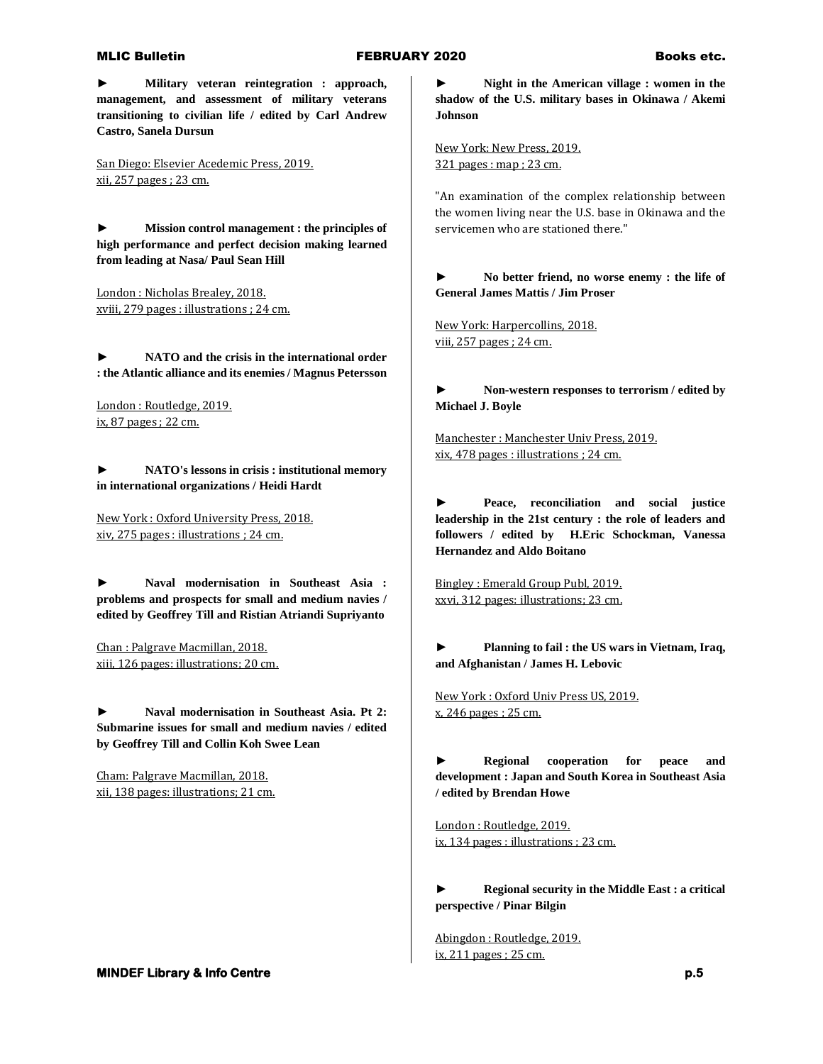**► Military veteran reintegration : approach, management, and assessment of military veterans transitioning to civilian life / edited by Carl Andrew Castro, Sanela Dursun**

San Diego: Elsevier Acedemic Press, 2019. xii, 257 pages ; 23 cm.

**► Mission control management : the principles of high performance and perfect decision making learned from leading at Nasa/ Paul Sean Hill**

London : Nicholas Brealey, 2018. xviii, 279 pages : illustrations ; 24 cm.

**► NATO and the crisis in the international order : the Atlantic alliance and its enemies / Magnus Petersson**

London : Routledge, 2019. ix, 87 pages ; 22 cm.

**► NATO's lessons in crisis : institutional memory in international organizations / Heidi Hardt**

New York : Oxford University Press, 2018. xiv, 275 pages : illustrations ; 24 cm.

**► Naval modernisation in Southeast Asia : problems and prospects for small and medium navies / edited by Geoffrey Till and Ristian Atriandi Supriyanto**

Chan : Palgrave Macmillan, 2018. xiii, 126 pages: illustrations; 20 cm.

**► Naval modernisation in Southeast Asia. Pt 2: Submarine issues for small and medium navies / edited by Geoffrey Till and Collin Koh Swee Lean**

Cham: Palgrave Macmillan, 2018. xii, 138 pages: illustrations; 21 cm.

### **MINDEF Library & Info Centre p.5 p.5**

**► Night in the American village : women in the shadow of the U.S. military bases in Okinawa / Akemi Johnson**

New York: New Press, 2019. 321 pages : map ; 23 cm.

"An examination of the complex relationship between the women living near the U.S. base in Okinawa and the servicemen who are stationed there."

**► No better friend, no worse enemy : the life of General James Mattis / Jim Proser**

New York: Harpercollins, 2018. viii, 257 pages ; 24 cm.

**► Non-western responses to terrorism / edited by Michael J. Boyle**

Manchester : Manchester Univ Press, 2019. xix, 478 pages : illustrations ; 24 cm.

**► Peace, reconciliation and social justice leadership in the 21st century : the role of leaders and followers / edited by H.Eric Schockman, Vanessa Hernandez and Aldo Boitano**

Bingley : Emerald Group Publ, 2019. xxvi, 312 pages: illustrations; 23 cm.

**► Planning to fail : the US wars in Vietnam, Iraq, and Afghanistan / James H. Lebovic**

New York : Oxford Univ Press US, 2019. x, 246 pages ; 25 cm.

**► Regional cooperation for peace and development : Japan and South Korea in Southeast Asia / edited by Brendan Howe**

London : Routledge, 2019. ix, 134 pages : illustrations ; 23 cm.

**► Regional security in the Middle East : a critical perspective / Pinar Bilgin**

Abingdon : Routledge, 2019. ix, 211 pages ; 25 cm.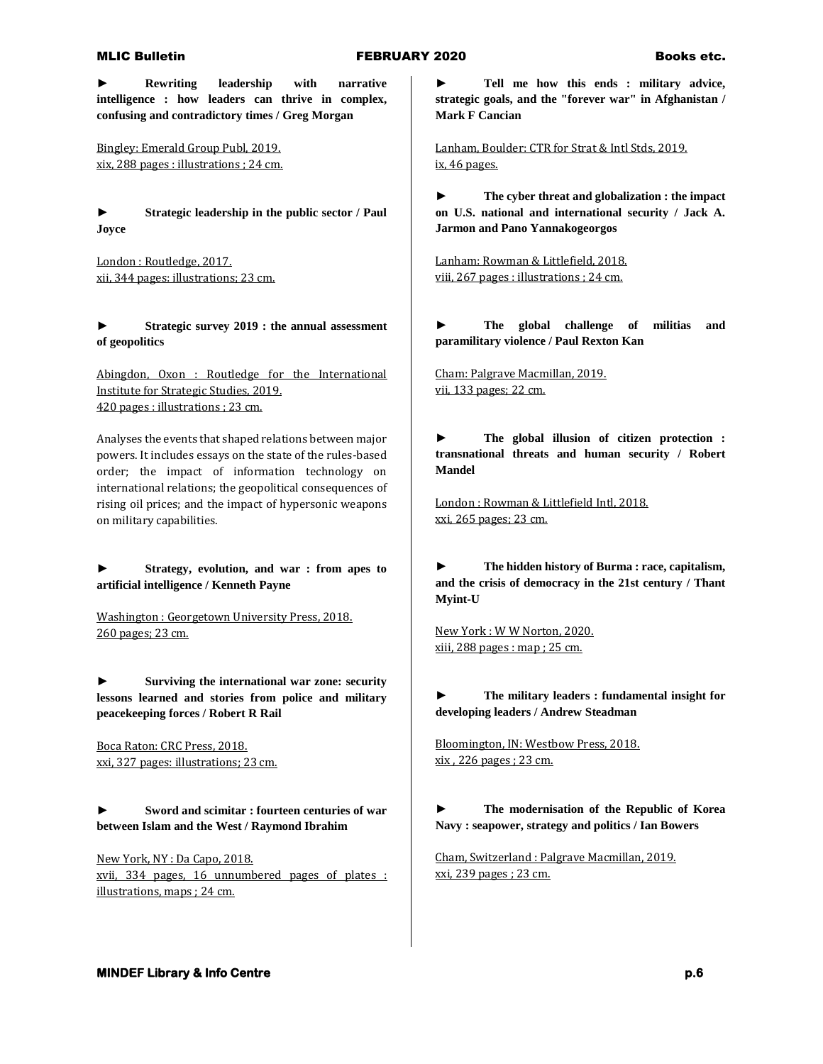**► Rewriting leadership with narrative intelligence : how leaders can thrive in complex, confusing and contradictory times / Greg Morgan**

Bingley: Emerald Group Publ, 2019. xix, 288 pages : illustrations ; 24 cm.

**► Strategic leadership in the public sector / Paul Joyce**

London : Routledge, 2017. xii, 344 pages: illustrations; 23 cm.

**► Strategic survey 2019 : the annual assessment of geopolitics**

Abingdon, Oxon : Routledge for the International Institute for Strategic Studies, 2019. 420 pages : illustrations ; 23 cm.

Analyses the events that shaped relations between major powers. It includes essays on the state of the rules-based order; the impact of information technology on international relations; the geopolitical consequences of rising oil prices; and the impact of hypersonic weapons on military capabilities.

**► Strategy, evolution, and war : from apes to artificial intelligence / Kenneth Payne**

Washington : Georgetown University Press, 2018. 260 pages; 23 cm.

**► Surviving the international war zone: security lessons learned and stories from police and military peacekeeping forces / Robert R Rail**

Boca Raton: CRC Press, 2018. xxi, 327 pages: illustrations; 23 cm.

**► Sword and scimitar : fourteen centuries of war between Islam and the West / Raymond Ibrahim**

New York, NY : Da Capo, 2018. xvii, 334 pages, 16 unnumbered pages of plates : illustrations, maps ; 24 cm.

**► Tell me how this ends : military advice, strategic goals, and the "forever war" in Afghanistan / Mark F Cancian**

Lanham, Boulder: CTR for Strat & Intl Stds, 2019. ix, 46 pages.

**► The cyber threat and globalization : the impact on U.S. national and international security / Jack A. Jarmon and Pano Yannakogeorgos**

Lanham: Rowman & Littlefield, 2018. viii, 267 pages : illustrations ; 24 cm.

**► The global challenge of militias and paramilitary violence / Paul Rexton Kan**

Cham: Palgrave Macmillan, 2019. vii, 133 pages; 22 cm.

**► The global illusion of citizen protection : transnational threats and human security / Robert Mandel**

London : Rowman & Littlefield Intl, 2018. xxi, 265 pages; 23 cm.

**► The hidden history of Burma : race, capitalism, and the crisis of democracy in the 21st century / Thant Myint-U**

New York : W W Norton, 2020. xiii, 288 pages : map ; 25 cm.

**► The military leaders : fundamental insight for developing leaders / Andrew Steadman**

Bloomington, IN: Westbow Press, 2018. xix , 226 pages ; 23 cm.

**► The modernisation of the Republic of Korea Navy : seapower, strategy and politics / Ian Bowers**

Cham, Switzerland : Palgrave Macmillan, 2019. xxi, 239 pages ; 23 cm.

### **MINDEF Library & Info Centre p.6 p.6**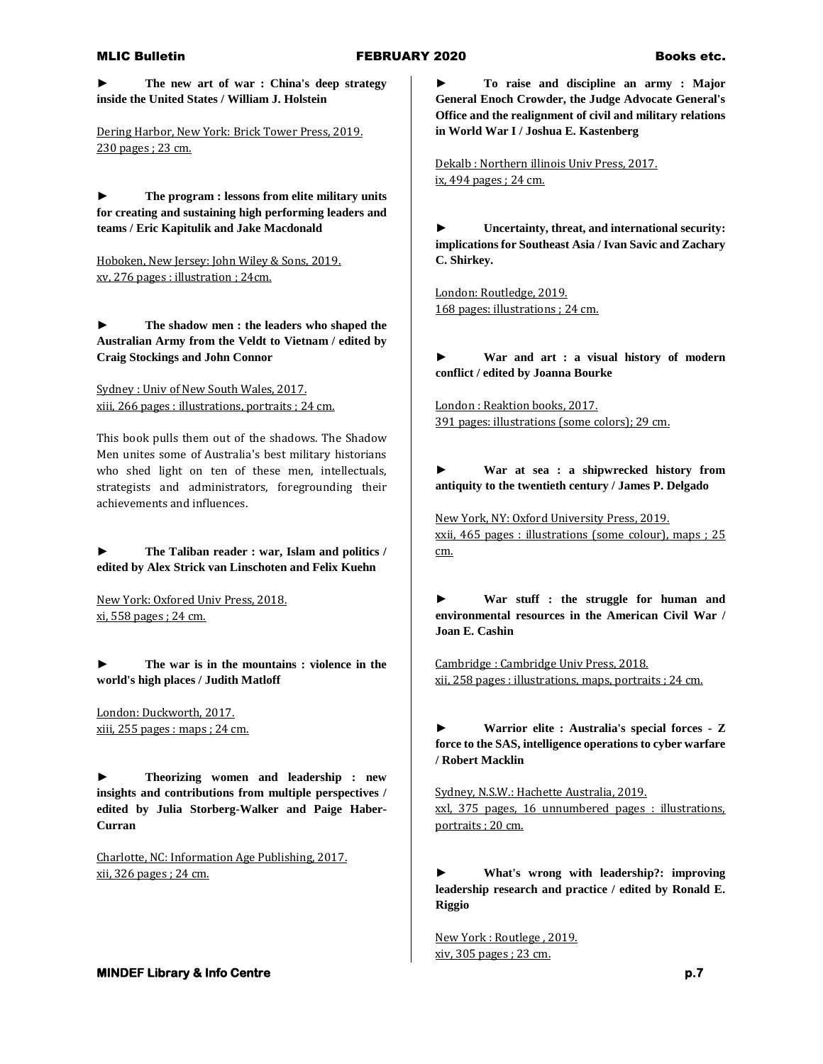**► The new art of war : China's deep strategy inside the United States / William J. Holstein**

Dering Harbor, New York: Brick Tower Press, 2019. 230 pages ; 23 cm.

**► The program : lessons from elite military units for creating and sustaining high performing leaders and teams / Eric Kapitulik and Jake Macdonald**

Hoboken, New Jersey: John Wiley & Sons, 2019. xv, 276 pages : illustration ; 24cm.

**► The shadow men : the leaders who shaped the Australian Army from the Veldt to Vietnam / edited by Craig Stockings and John Connor**

Sydney : Univ of New South Wales, 2017. xiii, 266 pages : illustrations, portraits ; 24 cm.

This book pulls them out of the shadows. The Shadow Men unites some of Australia's best military historians who shed light on ten of these men, intellectuals, strategists and administrators, foregrounding their achievements and influences.

**► The Taliban reader : war, Islam and politics / edited by Alex Strick van Linschoten and Felix Kuehn**

New York: Oxfored Univ Press, 2018. xi, 558 pages ; 24 cm.

**► The war is in the mountains : violence in the world's high places / Judith Matloff**

London: Duckworth, 2017. xiii, 255 pages : maps ; 24 cm.

**► Theorizing women and leadership : new insights and contributions from multiple perspectives / edited by Julia Storberg-Walker and Paige Haber-Curran**

Charlotte, NC: Information Age Publishing, 2017. xii, 326 pages ; 24 cm.

**► To raise and discipline an army : Major General Enoch Crowder, the Judge Advocate General's Office and the realignment of civil and military relations in World War I / Joshua E. Kastenberg**

Dekalb : Northern illinois Univ Press, 2017. ix, 494 pages ; 24 cm.

**► Uncertainty, threat, and international security: implications for Southeast Asia / Ivan Savic and Zachary C. Shirkey.** 

London: Routledge, 2019. 168 pages: illustrations ; 24 cm.

**► War and art : a visual history of modern conflict / edited by Joanna Bourke**

London : Reaktion books, 2017. 391 pages: illustrations (some colors); 29 cm.

**► War at sea : a shipwrecked history from antiquity to the twentieth century / James P. Delgado**

New York, NY: Oxford University Press, 2019. xxii, 465 pages : illustrations (some colour), maps ; 25 cm.

**► War stuff : the struggle for human and environmental resources in the American Civil War / Joan E. Cashin**

Cambridge : Cambridge Univ Press, 2018. xii, 258 pages : illustrations, maps, portraits ; 24 cm.

**► Warrior elite : Australia's special forces - Z force to the SAS, intelligence operations to cyber warfare / Robert Macklin**

Sydney, N.S.W.: Hachette Australia, 2019. xxl, 375 pages, 16 unnumbered pages : illustrations, portraits ; 20 cm.

**► What's wrong with leadership?: improving leadership research and practice / edited by Ronald E. Riggio**

New York : Routlege , 2019. xiv, 305 pages ; 23 cm.

**MINDEF Library & Info Centre p.7** *p.7*